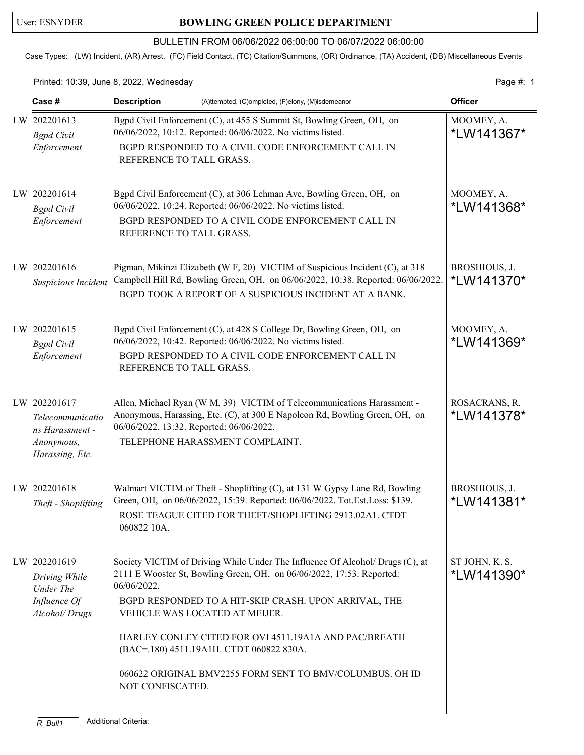## User: ESNYDER **BOWLING GREEN POLICE DEPARTMENT**

## BULLETIN FROM 06/06/2022 06:00:00 TO 06/07/2022 06:00:00

Case Types: (LW) Incident, (AR) Arrest, (FC) Field Contact, (TC) Citation/Summons, (OR) Ordinance, (TA) Accident, (DB) Miscellaneous Events

Printed: 10:39, June 8, 2022, Wednesday extending the state of the page 4: 1

| Case#                                                                                | <b>Description</b><br>(A)ttempted, (C)ompleted, (F)elony, (M)isdemeanor                                                                                                                                                                                                                                                                                                                                                                               | <b>Officer</b>                      |
|--------------------------------------------------------------------------------------|-------------------------------------------------------------------------------------------------------------------------------------------------------------------------------------------------------------------------------------------------------------------------------------------------------------------------------------------------------------------------------------------------------------------------------------------------------|-------------------------------------|
| LW 202201613<br><b>Bgpd</b> Civil<br>Enforcement                                     | Bgpd Civil Enforcement (C), at 455 S Summit St, Bowling Green, OH, on<br>06/06/2022, 10:12. Reported: 06/06/2022. No victims listed.<br>BGPD RESPONDED TO A CIVIL CODE ENFORCEMENT CALL IN<br>REFERENCE TO TALL GRASS.                                                                                                                                                                                                                                | MOOMEY, A.<br>*LW141367*            |
| LW 202201614<br><b>Bgpd</b> Civil<br>Enforcement                                     | Bgpd Civil Enforcement (C), at 306 Lehman Ave, Bowling Green, OH, on<br>06/06/2022, 10:24. Reported: 06/06/2022. No victims listed.<br>BGPD RESPONDED TO A CIVIL CODE ENFORCEMENT CALL IN<br>REFERENCE TO TALL GRASS.                                                                                                                                                                                                                                 | MOOMEY, A.<br>*LW141368*            |
| LW 202201616<br>Suspicious Incident                                                  | Pigman, Mikinzi Elizabeth (W F, 20) VICTIM of Suspicious Incident (C), at 318<br>Campbell Hill Rd, Bowling Green, OH, on 06/06/2022, 10:38. Reported: 06/06/2022.<br>BGPD TOOK A REPORT OF A SUSPICIOUS INCIDENT AT A BANK.                                                                                                                                                                                                                           | BROSHIOUS, J.<br>*LW141370*         |
| LW 202201615<br><b>Bgpd</b> Civil<br>Enforcement                                     | Bgpd Civil Enforcement (C), at 428 S College Dr, Bowling Green, OH, on<br>06/06/2022, 10:42. Reported: 06/06/2022. No victims listed.<br>BGPD RESPONDED TO A CIVIL CODE ENFORCEMENT CALL IN<br>REFERENCE TO TALL GRASS.                                                                                                                                                                                                                               | MOOMEY, A.<br>*LW141369*            |
| LW 202201617<br>Telecommunicatio<br>ns Harassment -<br>Anonymous,<br>Harassing, Etc. | Allen, Michael Ryan (W M, 39) VICTIM of Telecommunications Harassment -<br>Anonymous, Harassing, Etc. (C), at 300 E Napoleon Rd, Bowling Green, OH, on<br>06/06/2022, 13:32. Reported: 06/06/2022.<br>TELEPHONE HARASSMENT COMPLAINT.                                                                                                                                                                                                                 | ROSACRANS, R.<br><i>*</i> LW141378* |
| LW 202201618<br>Theft - Shoplifting                                                  | Walmart VICTIM of Theft - Shoplifting (C), at 131 W Gypsy Lane Rd, Bowling<br>Green, OH, on 06/06/2022, 15:39. Reported: 06/06/2022. Tot.Est.Loss: \$139.<br>ROSE TEAGUE CITED FOR THEFT/SHOPLIFTING 2913.02A1. CTDT<br>060822 10A.                                                                                                                                                                                                                   | BROSHIOUS, J.<br>*LW141381*         |
| LW 202201619<br>Driving While<br>Under The<br>Influence Of<br>Alcohol/Drugs          | Society VICTIM of Driving While Under The Influence Of Alcohol/ Drugs (C), at<br>2111 E Wooster St, Bowling Green, OH, on 06/06/2022, 17:53. Reported:<br>06/06/2022.<br>BGPD RESPONDED TO A HIT-SKIP CRASH. UPON ARRIVAL, THE<br>VEHICLE WAS LOCATED AT MEIJER.<br>HARLEY CONLEY CITED FOR OVI 4511.19A1A AND PAC/BREATH<br>(BAC=.180) 4511.19A1H. CTDT 060822 830A.<br>060622 ORIGINAL BMV2255 FORM SENT TO BMV/COLUMBUS. OH ID<br>NOT CONFISCATED. | ST JOHN, K. S.<br>*LW141390*        |
|                                                                                      |                                                                                                                                                                                                                                                                                                                                                                                                                                                       |                                     |